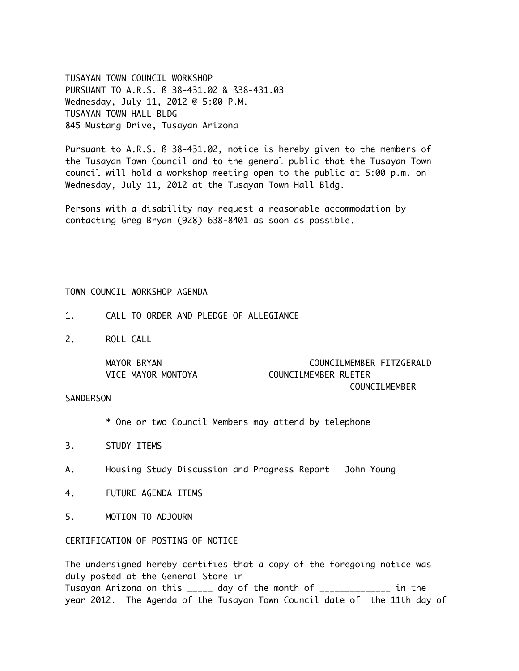TUSAYAN TOWN COUNCIL WORKSHOP PURSUANT TO A.R.S. ß 38-431.02 & ß38-431.03 Wednesday, July 11, 2012 @ 5:00 P.M. TUSAYAN TOWN HALL BLDG 845 Mustang Drive, Tusayan Arizona

Pursuant to A.R.S. ß 38-431.02, notice is hereby given to the members of the Tusayan Town Council and to the general public that the Tusayan Town council will hold a workshop meeting open to the public at 5:00 p.m. on Wednesday, July 11, 2012 at the Tusayan Town Hall Bldg.

Persons with a disability may request a reasonable accommodation by contacting Greg Bryan (928) 638-8401 as soon as possible.

## TOWN COUNCIL WORKSHOP AGENDA

- 1. CALL TO ORDER AND PLEDGE OF ALLEGIANCE
- 2. ROLL CALL

| MAYOR BRYAN        | COUNCILMEMBER FITZGERALD |
|--------------------|--------------------------|
| VICE MAYOR MONTOYA | COUNCILMEMBER RUETER     |
|                    | COUNCILMEMBER            |

## **SANDERSON**

\* One or two Council Members may attend by telephone

- 3. STUDY ITEMS
- A. Housing Study Discussion and Progress Report John Young
- 4. FUTURE AGENDA ITEMS
- 5. MOTION TO ADJOURN

## CERTIFICATION OF POSTING OF NOTICE

The undersigned hereby certifies that a copy of the foregoing notice was duly posted at the General Store in Tusayan Arizona on this  $\rho_{\text{max}}$  day of the month of  $\rho_{\text{max}}$ year 2012. The Agenda of the Tusayan Town Council date of the 11th day of